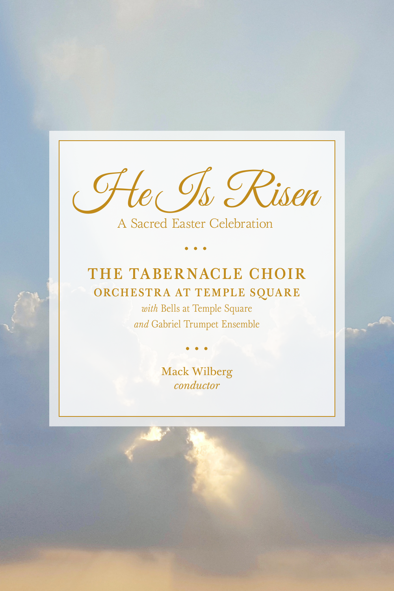

A Sacred Easter Celebration

• • •

# THE TABERNACLE CHOIR ORCHESTRA AT TEMPLE SQUARE

*with* Bells at Temple Square *and* Gabriel Trumpet Ensemble

> Mack Wilberg *conductor*

• • •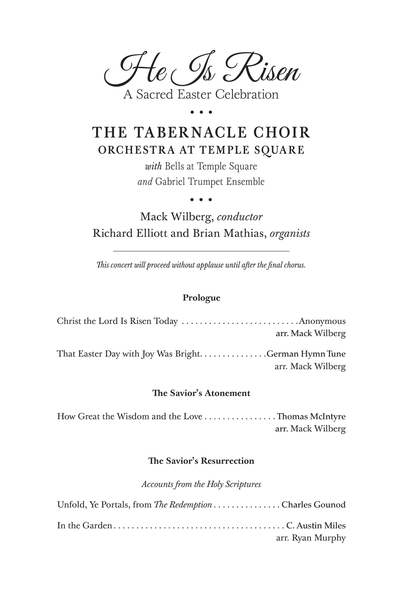te ( Is Risen A Sacred Easter Celebration

THE TABERNACLE CHOIR ORCHESTRA AT TEMPLE SQUARE

• • •

*with* Bells at Temple Square *and* Gabriel Trumpet Ensemble

• • •

Mack Wilberg, *conductor*  Richard Elliott and Brian Mathias, *organists*

*This concert will proceed without applause until after the final chorus.*

### **Prologue**

|                                                     | arr. Mack Wilberg |
|-----------------------------------------------------|-------------------|
| That Easter Day with Joy Was BrightGerman Hymn Tune | arr. Mack Wilberg |

#### **The Savior's Atonement**

How Great the Wisdom and the Love . . . . . . . . . . . . . . . Thomas McIntyre arr. Mack Wilberg

## **The Savior's Resurrection**

*Accounts from the Holy Scriptures*

| Unfold, Ye Portals, from The Redemption Charles Gounod |                  |
|--------------------------------------------------------|------------------|
|                                                        |                  |
|                                                        | arr. Ryan Murphy |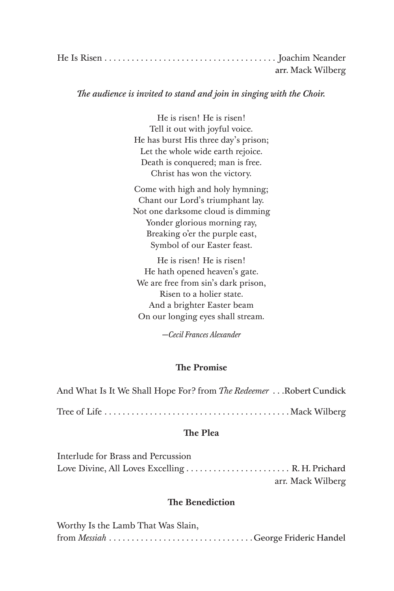|  | arr. Mack Wilberg |
|--|-------------------|

#### *The audience is invited to stand and join in singing with the Choir.*

He is risen! He is risen! Tell it out with joyful voice. He has burst His three day's prison; Let the whole wide earth rejoice. Death is conquered; man is free. Christ has won the victory.

Come with high and holy hymning; Chant our Lord's triumphant lay. Not one darksome cloud is dimming Yonder glorious morning ray, Breaking o'er the purple east, Symbol of our Easter feast.

He is risen! He is risen! He hath opened heaven's gate. We are free from sin's dark prison, Risen to a holier state. And a brighter Easter beam On our longing eyes shall stream.

*—Cecil Frances Alexander*

#### **The Promise**

And What Is It We Shall Hope For? from *The Redeemer* . . Robert Cundick Tree of Life . . . . . . . . . . . . . . . . . . . . . . . . . . . . . . . . . . . . . . . . Mack Wilberg

#### **The Plea**

| Interlude for Brass and Percussion               |                   |
|--------------------------------------------------|-------------------|
| Love Divine, All Loves Excelling  R. H. Prichard |                   |
|                                                  | arr. Mack Wilberg |

#### **The Benediction**

| Worthy Is the Lamb That Was Slain, |  |
|------------------------------------|--|
|                                    |  |